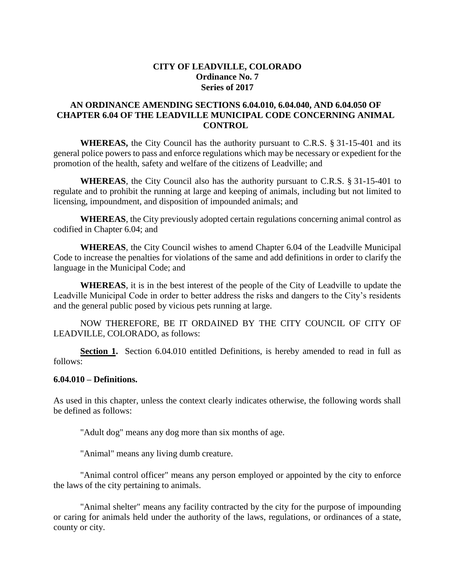## **CITY OF LEADVILLE, COLORADO Ordinance No. 7 Series of 2017**

## **AN ORDINANCE AMENDING SECTIONS 6.04.010, 6.04.040, AND 6.04.050 OF CHAPTER 6.04 OF THE LEADVILLE MUNICIPAL CODE CONCERNING ANIMAL CONTROL**

**WHEREAS,** the City Council has the authority pursuant to C.R.S. § 31-15-401 and its general police powers to pass and enforce regulations which may be necessary or expedient for the promotion of the health, safety and welfare of the citizens of Leadville; and

**WHEREAS**, the City Council also has the authority pursuant to C.R.S. § 31-15-401 to regulate and to prohibit the running at large and keeping of animals, including but not limited to licensing, impoundment, and disposition of impounded animals; and

**WHEREAS**, the City previously adopted certain regulations concerning animal control as codified in Chapter 6.04; and

**WHEREAS**, the City Council wishes to amend Chapter 6.04 of the Leadville Municipal Code to increase the penalties for violations of the same and add definitions in order to clarify the language in the Municipal Code; and

**WHEREAS**, it is in the best interest of the people of the City of Leadville to update the Leadville Municipal Code in order to better address the risks and dangers to the City's residents and the general public posed by vicious pets running at large.

NOW THEREFORE, BE IT ORDAINED BY THE CITY COUNCIL OF CITY OF LEADVILLE, COLORADO, as follows:

**Section 1.** Section 6.04.010 entitled Definitions, is hereby amended to read in full as follows:

### **6.04.010 – Definitions.**

As used in this chapter, unless the context clearly indicates otherwise, the following words shall be defined as follows:

"Adult dog" means any dog more than six months of age.

"Animal" means any living dumb creature.

"Animal control officer" means any person employed or appointed by the city to enforce the laws of the city pertaining to animals.

"Animal shelter" means any facility contracted by the city for the purpose of impounding or caring for animals held under the authority of the laws, regulations, or ordinances of a state, county or city.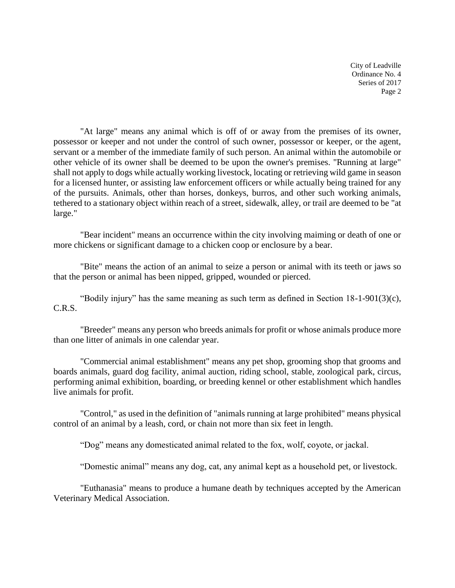"At large" means any animal which is off of or away from the premises of its owner, possessor or keeper and not under the control of such owner, possessor or keeper, or the agent, servant or a member of the immediate family of such person. An animal within the automobile or other vehicle of its owner shall be deemed to be upon the owner's premises. "Running at large" shall not apply to dogs while actually working livestock, locating or retrieving wild game in season for a licensed hunter, or assisting law enforcement officers or while actually being trained for any of the pursuits. Animals, other than horses, donkeys, burros, and other such working animals, tethered to a stationary object within reach of a street, sidewalk, alley, or trail are deemed to be "at large."

"Bear incident" means an occurrence within the city involving maiming or death of one or more chickens or significant damage to a chicken coop or enclosure by a bear.

"Bite" means the action of an animal to seize a person or animal with its teeth or jaws so that the person or animal has been nipped, gripped, wounded or pierced.

"Bodily injury" has the same meaning as such term as defined in Section  $18-1-901(3)(c)$ , C.R.S.

"Breeder" means any person who breeds animals for profit or whose animals produce more than one litter of animals in one calendar year.

"Commercial animal establishment" means any pet shop, grooming shop that grooms and boards animals, guard dog facility, animal auction, riding school, stable, zoological park, circus, performing animal exhibition, boarding, or breeding kennel or other establishment which handles live animals for profit.

"Control," as used in the definition of "animals running at large prohibited" means physical control of an animal by a leash, cord, or chain not more than six feet in length.

"Dog" means any domesticated animal related to the fox, wolf, coyote, or jackal.

"Domestic animal" means any dog, cat, any animal kept as a household pet, or livestock.

"Euthanasia" means to produce a humane death by techniques accepted by the American Veterinary Medical Association.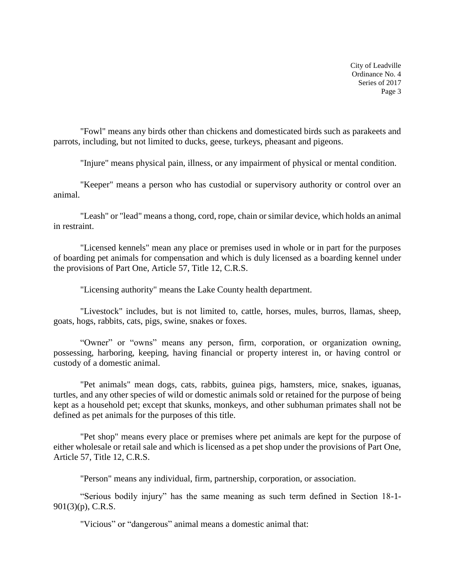"Fowl" means any birds other than chickens and domesticated birds such as parakeets and parrots, including, but not limited to ducks, geese, turkeys, pheasant and pigeons.

"Injure" means physical pain, illness, or any impairment of physical or mental condition.

"Keeper" means a person who has custodial or supervisory authority or control over an animal.

"Leash" or "lead" means a thong, cord, rope, chain or similar device, which holds an animal in restraint.

"Licensed kennels" mean any place or premises used in whole or in part for the purposes of boarding pet animals for compensation and which is duly licensed as a boarding kennel under the provisions of Part One, Article 57, Title 12, C.R.S.

"Licensing authority" means the Lake County health department.

"Livestock" includes, but is not limited to, cattle, horses, mules, burros, llamas, sheep, goats, hogs, rabbits, cats, pigs, swine, snakes or foxes.

"Owner" or "owns" means any person, firm, corporation, or organization owning, possessing, harboring, keeping, having financial or property interest in, or having control or custody of a domestic animal.

"Pet animals" mean dogs, cats, rabbits, guinea pigs, hamsters, mice, snakes, iguanas, turtles, and any other species of wild or domestic animals sold or retained for the purpose of being kept as a household pet; except that skunks, monkeys, and other subhuman primates shall not be defined as pet animals for the purposes of this title.

"Pet shop" means every place or premises where pet animals are kept for the purpose of either wholesale or retail sale and which is licensed as a pet shop under the provisions of Part One, Article 57, Title 12, C.R.S.

"Person" means any individual, firm, partnership, corporation, or association.

"Serious bodily injury" has the same meaning as such term defined in Section 18-1- 901(3)(p), C.R.S.

"Vicious" or "dangerous" animal means a domestic animal that: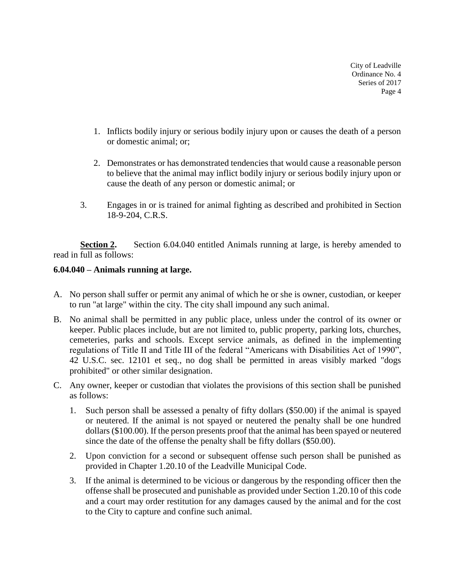- 1. Inflicts bodily injury or serious bodily injury upon or causes the death of a person or domestic animal; or;
- 2. Demonstrates or has demonstrated tendencies that would cause a reasonable person to believe that the animal may inflict bodily injury or serious bodily injury upon or cause the death of any person or domestic animal; or
- 3. Engages in or is trained for animal fighting as described and prohibited in Section 18-9-204, C.R.S.

**Section 2.** Section 6.04.040 entitled Animals running at large, is hereby amended to read in full as follows:

### **6.04.040 – Animals running at large.**

- A. No person shall suffer or permit any animal of which he or she is owner, custodian, or keeper to run "at large" within the city. The city shall impound any such animal.
- B. No animal shall be permitted in any public place, unless under the control of its owner or keeper. Public places include, but are not limited to, public property, parking lots, churches, cemeteries, parks and schools. Except service animals, as defined in the implementing regulations of Title II and Title III of the federal "Americans with Disabilities Act of 1990", 42 U.S.C. sec. 12101 et seq., no dog shall be permitted in areas visibly marked "dogs prohibited" or other similar designation.
- C. Any owner, keeper or custodian that violates the provisions of this section shall be punished as follows:
	- 1. Such person shall be assessed a penalty of fifty dollars (\$50.00) if the animal is spayed or neutered. If the animal is not spayed or neutered the penalty shall be one hundred dollars (\$100.00). If the person presents proof that the animal has been spayed or neutered since the date of the offense the penalty shall be fifty dollars (\$50.00).
	- 2. Upon conviction for a second or subsequent offense such person shall be punished as provided in Chapter 1.20.10 of the Leadville Municipal Code.
	- 3. If the animal is determined to be vicious or dangerous by the responding officer then the offense shall be prosecuted and punishable as provided under Section 1.20.10 of this code and a court may order restitution for any damages caused by the animal and for the cost to the City to capture and confine such animal.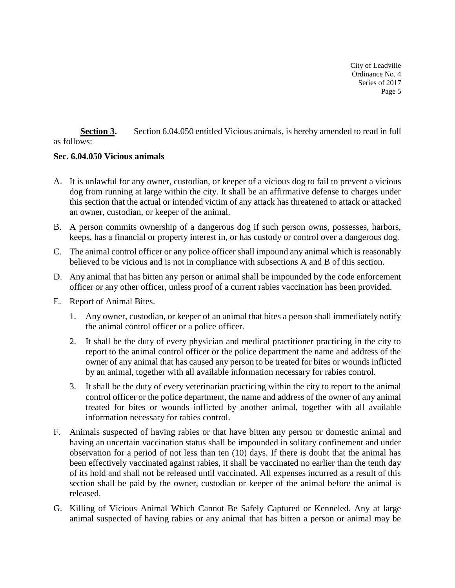**Section 3.** Section 6.04.050 entitled Vicious animals, is hereby amended to read in full as follows:

#### **Sec. 6.04.050 Vicious animals**

- A. It is unlawful for any owner, custodian, or keeper of a vicious dog to fail to prevent a vicious dog from running at large within the city. It shall be an affirmative defense to charges under this section that the actual or intended victim of any attack has threatened to attack or attacked an owner, custodian, or keeper of the animal.
- B. A person commits ownership of a dangerous dog if such person owns, possesses, harbors, keeps, has a financial or property interest in, or has custody or control over a dangerous dog.
- C. The animal control officer or any police officer shall impound any animal which is reasonably believed to be vicious and is not in compliance with subsections A and B of this section.
- D. Any animal that has bitten any person or animal shall be impounded by the code enforcement officer or any other officer, unless proof of a current rabies vaccination has been provided.
- E. Report of Animal Bites.
	- 1. Any owner, custodian, or keeper of an animal that bites a person shall immediately notify the animal control officer or a police officer.
	- 2. It shall be the duty of every physician and medical practitioner practicing in the city to report to the animal control officer or the police department the name and address of the owner of any animal that has caused any person to be treated for bites or wounds inflicted by an animal, together with all available information necessary for rabies control.
	- 3. It shall be the duty of every veterinarian practicing within the city to report to the animal control officer or the police department, the name and address of the owner of any animal treated for bites or wounds inflicted by another animal, together with all available information necessary for rabies control.
- F. Animals suspected of having rabies or that have bitten any person or domestic animal and having an uncertain vaccination status shall be impounded in solitary confinement and under observation for a period of not less than ten (10) days. If there is doubt that the animal has been effectively vaccinated against rabies, it shall be vaccinated no earlier than the tenth day of its hold and shall not be released until vaccinated. All expenses incurred as a result of this section shall be paid by the owner, custodian or keeper of the animal before the animal is released.
- G. Killing of Vicious Animal Which Cannot Be Safely Captured or Kenneled. Any at large animal suspected of having rabies or any animal that has bitten a person or animal may be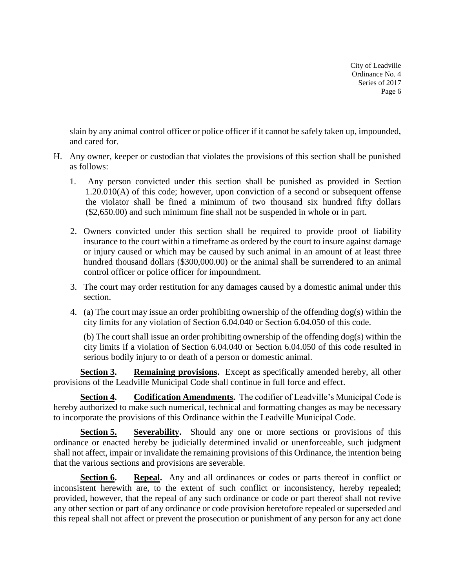slain by any animal control officer or police officer if it cannot be safely taken up, impounded, and cared for.

- H. Any owner, keeper or custodian that violates the provisions of this section shall be punished as follows:
	- 1. Any person convicted under this section shall be punished as provided in Section 1.20.010(A) of this code; however, upon conviction of a second or subsequent offense the violator shall be fined a minimum of two thousand six hundred fifty dollars (\$2,650.00) and such minimum fine shall not be suspended in whole or in part.
	- 2. Owners convicted under this section shall be required to provide proof of liability insurance to the court within a timeframe as ordered by the court to insure against damage or injury caused or which may be caused by such animal in an amount of at least three hundred thousand dollars (\$300,000.00) or the animal shall be surrendered to an animal control officer or police officer for impoundment.
	- 3. The court may order restitution for any damages caused by a domestic animal under this section.
	- 4. (a) The court may issue an order prohibiting ownership of the offending dog(s) within the city limits for any violation of Section 6.04.040 or Section 6.04.050 of this code.

(b) The court shall issue an order prohibiting ownership of the offending dog(s) within the city limits if a violation of Section 6.04.040 or Section 6.04.050 of this code resulted in serious bodily injury to or death of a person or domestic animal.

**Section 3. Remaining provisions.** Except as specifically amended hereby, all other provisions of the Leadville Municipal Code shall continue in full force and effect.

**Section 4. Codification Amendments.** The codifier of Leadville's Municipal Code is hereby authorized to make such numerical, technical and formatting changes as may be necessary to incorporate the provisions of this Ordinance within the Leadville Municipal Code.

**Section 5. Severability.** Should any one or more sections or provisions of this ordinance or enacted hereby be judicially determined invalid or unenforceable, such judgment shall not affect, impair or invalidate the remaining provisions of this Ordinance, the intention being that the various sections and provisions are severable.

**Section 6. Repeal.** Any and all ordinances or codes or parts thereof in conflict or inconsistent herewith are, to the extent of such conflict or inconsistency, hereby repealed; provided, however, that the repeal of any such ordinance or code or part thereof shall not revive any other section or part of any ordinance or code provision heretofore repealed or superseded and this repeal shall not affect or prevent the prosecution or punishment of any person for any act done